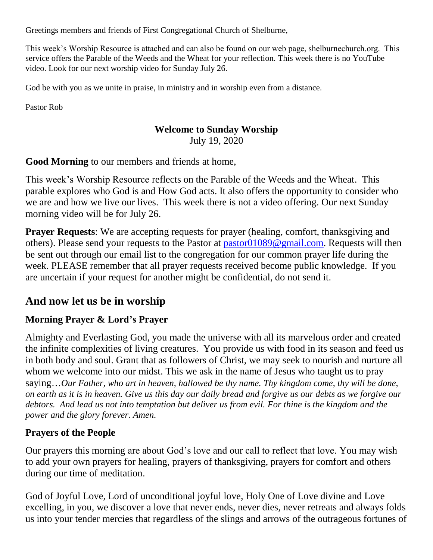Greetings members and friends of First Congregational Church of Shelburne,

This week's Worship Resource is attached and can also be found on our web page, shelburnechurch.org. This service offers the Parable of the Weeds and the Wheat for your reflection. This week there is no YouTube video. Look for our next worship video for Sunday July 26.

God be with you as we unite in praise, in ministry and in worship even from a distance.

Pastor Rob

#### **Welcome to Sunday Worship**

July 19, 2020

**Good Morning** to our members and friends at home,

This week's Worship Resource reflects on the Parable of the Weeds and the Wheat. This parable explores who God is and How God acts. It also offers the opportunity to consider who we are and how we live our lives. This week there is not a video offering. Our next Sunday morning video will be for July 26.

**Prayer Requests:** We are accepting requests for prayer (healing, comfort, thanksgiving and others). Please send your requests to the Pastor at [pastor01089@gmail.com.](mailto:pastor01089@gmail.com) Requests will then be sent out through our email list to the congregation for our common prayer life during the week. PLEASE remember that all prayer requests received become public knowledge. If you are uncertain if your request for another might be confidential, do not send it.

# **And now let us be in worship**

## **Morning Prayer & Lord's Prayer**

Almighty and Everlasting God, you made the universe with all its marvelous order and created the infinite complexities of living creatures. You provide us with food in its season and feed us in both body and soul. Grant that as followers of Christ, we may seek to nourish and nurture all whom we welcome into our midst. This we ask in the name of Jesus who taught us to pray saying…*Our Father, who art in heaven, hallowed be thy name. Thy kingdom come, thy will be done, on earth as it is in heaven. Give us this day our daily bread and forgive us our debts as we forgive our debtors. And lead us not into temptation but deliver us from evil. For thine is the kingdom and the power and the glory forever. Amen.*

## **Prayers of the People**

Our prayers this morning are about God's love and our call to reflect that love. You may wish to add your own prayers for healing, prayers of thanksgiving, prayers for comfort and others during our time of meditation.

God of Joyful Love, Lord of unconditional joyful love, Holy One of Love divine and Love excelling, in you, we discover a love that never ends, never dies, never retreats and always folds us into your tender mercies that regardless of the slings and arrows of the outrageous fortunes of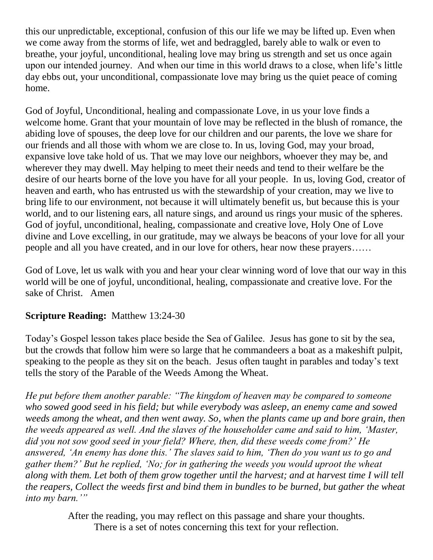this our unpredictable, exceptional, confusion of this our life we may be lifted up. Even when we come away from the storms of life, wet and bedraggled, barely able to walk or even to breathe, your joyful, unconditional, healing love may bring us strength and set us once again upon our intended journey. And when our time in this world draws to a close, when life's little day ebbs out, your unconditional, compassionate love may bring us the quiet peace of coming home.

God of Joyful, Unconditional, healing and compassionate Love, in us your love finds a welcome home. Grant that your mountain of love may be reflected in the blush of romance, the abiding love of spouses, the deep love for our children and our parents, the love we share for our friends and all those with whom we are close to. In us, loving God, may your broad, expansive love take hold of us. That we may love our neighbors, whoever they may be, and wherever they may dwell. May helping to meet their needs and tend to their welfare be the desire of our hearts borne of the love you have for all your people. In us, loving God, creator of heaven and earth, who has entrusted us with the stewardship of your creation, may we live to bring life to our environment, not because it will ultimately benefit us, but because this is your world, and to our listening ears, all nature sings, and around us rings your music of the spheres. God of joyful, unconditional, healing, compassionate and creative love, Holy One of Love divine and Love excelling, in our gratitude, may we always be beacons of your love for all your people and all you have created, and in our love for others, hear now these prayers……

God of Love, let us walk with you and hear your clear winning word of love that our way in this world will be one of joyful, unconditional, healing, compassionate and creative love. For the sake of Christ. Amen

## **Scripture Reading:** Matthew 13:24-30

Today's Gospel lesson takes place beside the Sea of Galilee. Jesus has gone to sit by the sea, but the crowds that follow him were so large that he commandeers a boat as a makeshift pulpit, speaking to the people as they sit on the beach. Jesus often taught in parables and today's text tells the story of the Parable of the Weeds Among the Wheat.

*He put before them another parable: "The kingdom of heaven may be compared to someone who sowed good seed in his field; but while everybody was asleep, an enemy came and sowed weeds among the wheat, and then went away. So, when the plants came up and bore grain, then the weeds appeared as well. And the slaves of the householder came and said to him, 'Master, did you not sow good seed in your field? Where, then, did these weeds come from?' He answered, 'An enemy has done this.' The slaves said to him, 'Then do you want us to go and gather them?' But he replied, 'No; for in gathering the weeds you would uproot the wheat along with them. Let both of them grow together until the harvest; and at harvest time I will tell the reapers, Collect the weeds first and bind them in bundles to be burned, but gather the wheat into my barn.'"*

> After the reading, you may reflect on this passage and share your thoughts. There is a set of notes concerning this text for your reflection.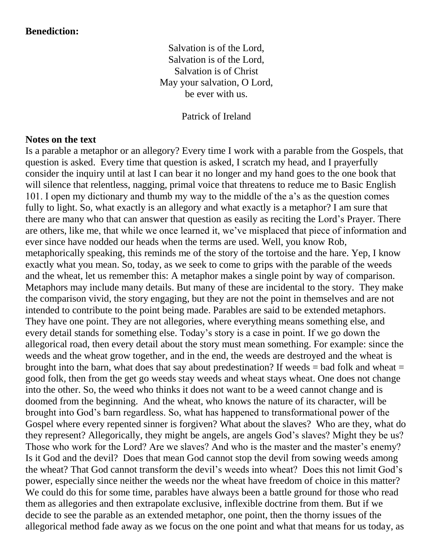#### **Benediction:**

Salvation is of the Lord, Salvation is of the Lord, Salvation is of Christ May your salvation, O Lord, be ever with us.

Patrick of Ireland

#### **Notes on the text**

Is a parable a metaphor or an allegory? Every time I work with a parable from the Gospels, that question is asked. Every time that question is asked, I scratch my head, and I prayerfully consider the inquiry until at last I can bear it no longer and my hand goes to the one book that will silence that relentless, nagging, primal voice that threatens to reduce me to Basic English 101. I open my dictionary and thumb my way to the middle of the a's as the question comes fully to light. So, what exactly is an allegory and what exactly is a metaphor? I am sure that there are many who that can answer that question as easily as reciting the Lord's Prayer. There are others, like me, that while we once learned it, we've misplaced that piece of information and ever since have nodded our heads when the terms are used. Well, you know Rob, metaphorically speaking, this reminds me of the story of the tortoise and the hare. Yep, I know exactly what you mean. So, today, as we seek to come to grips with the parable of the weeds and the wheat, let us remember this: A metaphor makes a single point by way of comparison. Metaphors may include many details. But many of these are incidental to the story. They make the comparison vivid, the story engaging, but they are not the point in themselves and are not intended to contribute to the point being made. Parables are said to be extended metaphors. They have one point. They are not allegories, where everything means something else, and every detail stands for something else. Today's story is a case in point. If we go down the allegorical road, then every detail about the story must mean something. For example: since the weeds and the wheat grow together, and in the end, the weeds are destroyed and the wheat is brought into the barn, what does that say about predestination? If weeds  $=$  bad folk and wheat  $=$ good folk, then from the get go weeds stay weeds and wheat stays wheat. One does not change into the other. So, the weed who thinks it does not want to be a weed cannot change and is doomed from the beginning. And the wheat, who knows the nature of its character, will be brought into God's barn regardless. So, what has happened to transformational power of the Gospel where every repented sinner is forgiven? What about the slaves? Who are they, what do they represent? Allegorically, they might be angels, are angels God's slaves? Might they be us? Those who work for the Lord? Are we slaves? And who is the master and the master's enemy? Is it God and the devil? Does that mean God cannot stop the devil from sowing weeds among the wheat? That God cannot transform the devil's weeds into wheat? Does this not limit God's power, especially since neither the weeds nor the wheat have freedom of choice in this matter? We could do this for some time, parables have always been a battle ground for those who read them as allegories and then extrapolate exclusive, inflexible doctrine from them. But if we decide to see the parable as an extended metaphor, one point, then the thorny issues of the allegorical method fade away as we focus on the one point and what that means for us today, as